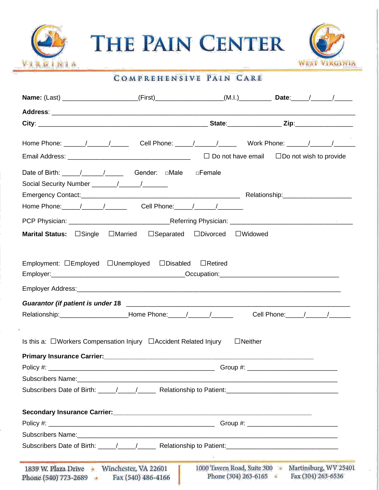

THE PAIN CENTER



#### COMPREHENSIVE PAIN CARE

| <b>Name:</b> (Last) ______________________(First)_________________(M.I.)_______________Date:_____/______/___________                                                                                                                                                                                                                                                                                        |                                  |                                  |                                                                         |
|-------------------------------------------------------------------------------------------------------------------------------------------------------------------------------------------------------------------------------------------------------------------------------------------------------------------------------------------------------------------------------------------------------------|----------------------------------|----------------------------------|-------------------------------------------------------------------------|
|                                                                                                                                                                                                                                                                                                                                                                                                             |                                  |                                  |                                                                         |
|                                                                                                                                                                                                                                                                                                                                                                                                             |                                  |                                  |                                                                         |
|                                                                                                                                                                                                                                                                                                                                                                                                             |                                  |                                  |                                                                         |
|                                                                                                                                                                                                                                                                                                                                                                                                             |                                  |                                  |                                                                         |
|                                                                                                                                                                                                                                                                                                                                                                                                             |                                  |                                  |                                                                         |
| Date of Birth: $\frac{1}{\sqrt{1-\frac{1}{1-\frac{1}{1-\frac{1}{1-\frac{1}{1-\frac{1}{1-\frac{1}{1-\frac{1}{1-\frac{1}{1-\frac{1}{1-\frac{1}{1-\frac{1}{1-\frac{1}{1-\frac{1}{1-\frac{1}{1-\frac{1}{1-\frac{1}{1-\frac{1}{1-\frac{1}{1-\frac{1}{1-\frac{1}{1-\frac{1}{1-\frac{1}{1-\frac{1}{1-\frac{1}{1-\frac{1}{1-\frac{1}{1-\frac{1}{1-\frac{1}{1-\frac{1}{1-\frac{1}{1-\frac{1}{1-\frac{1}{1-\frac{1}{$ |                                  |                                  |                                                                         |
|                                                                                                                                                                                                                                                                                                                                                                                                             |                                  |                                  |                                                                         |
|                                                                                                                                                                                                                                                                                                                                                                                                             |                                  |                                  |                                                                         |
| Home Phone: 1 _____ / ______ / ______ Cell Phone: 1 ____ / _____ / _______                                                                                                                                                                                                                                                                                                                                  |                                  |                                  |                                                                         |
|                                                                                                                                                                                                                                                                                                                                                                                                             |                                  |                                  |                                                                         |
| <b>Marital Status:</b> □Single<br>$\Box$ Married                                                                                                                                                                                                                                                                                                                                                            | $\Box$ Separated $\Box$ Divorced | $\Box$ Widowed                   |                                                                         |
|                                                                                                                                                                                                                                                                                                                                                                                                             |                                  |                                  |                                                                         |
| Employment: □Employed □Unemployed □Disabled                                                                                                                                                                                                                                                                                                                                                                 |                                  | $\Box$ Retired                   |                                                                         |
|                                                                                                                                                                                                                                                                                                                                                                                                             |                                  |                                  |                                                                         |
|                                                                                                                                                                                                                                                                                                                                                                                                             |                                  |                                  |                                                                         |
| Relationship:__________________________Home Phone:______/_______/_________                                                                                                                                                                                                                                                                                                                                  |                                  |                                  |                                                                         |
|                                                                                                                                                                                                                                                                                                                                                                                                             |                                  |                                  |                                                                         |
| Is this a: $\Box$ Workers Compensation Injury $\Box$ Accident Related Injury                                                                                                                                                                                                                                                                                                                                |                                  | $\Box$ Neither                   |                                                                         |
| Primary Insurance Carrier: Marian Contractor Contractor Contractor Contractor Contractor Contractor Contractor                                                                                                                                                                                                                                                                                              |                                  |                                  |                                                                         |
| Policy $#$ :                                                                                                                                                                                                                                                                                                                                                                                                |                                  |                                  | Group #: _________________________________                              |
|                                                                                                                                                                                                                                                                                                                                                                                                             |                                  |                                  |                                                                         |
| Subscribers Date of Birth: \Relationship to Patient: \Relationship to Patient: \Relationship to Patient: \Relationship to Patient: \Relationship to Patient: \Relationship to Patient: \Relationship to Patient: \Relationship                                                                                                                                                                              |                                  |                                  |                                                                         |
|                                                                                                                                                                                                                                                                                                                                                                                                             |                                  |                                  |                                                                         |
|                                                                                                                                                                                                                                                                                                                                                                                                             |                                  |                                  |                                                                         |
|                                                                                                                                                                                                                                                                                                                                                                                                             |                                  |                                  |                                                                         |
|                                                                                                                                                                                                                                                                                                                                                                                                             |                                  |                                  |                                                                         |
|                                                                                                                                                                                                                                                                                                                                                                                                             |                                  |                                  |                                                                         |
|                                                                                                                                                                                                                                                                                                                                                                                                             |                                  |                                  |                                                                         |
| 1839 W. Plaza Drive • Winchester, VA 22601<br>Phone (540) 773-2689 •                                                                                                                                                                                                                                                                                                                                        | Fax (540) 486-4166               | Phone $(304)$ 263-6165 $\bullet$ | 1000 Tavern Road, Suite 300 Martinsburg, WV 25401<br>Fax (304) 263-6536 |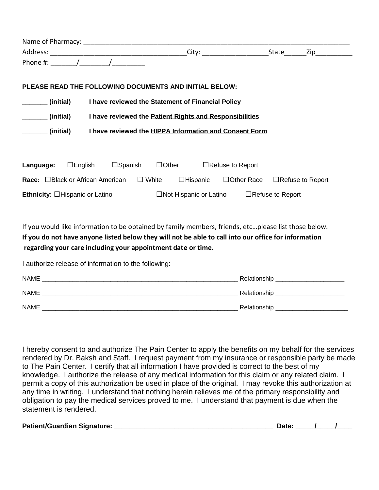|                                         | Name of Pharmacy: Name of Pharmacy:         |                                                                                                     |                                           |       |     |
|-----------------------------------------|---------------------------------------------|-----------------------------------------------------------------------------------------------------|-------------------------------------------|-------|-----|
|                                         |                                             |                                                                                                     |                                           | State | Zip |
|                                         | Phone #: $\sqrt{2\pi}$                      |                                                                                                     |                                           |       |     |
|                                         |                                             | PLEASE READ THE FOLLOWING DOCUMENTS AND INITIAL BELOW:                                              |                                           |       |     |
| (initial)                               |                                             | I have reviewed the Statement of Financial Policy                                                   |                                           |       |     |
| (initial)                               |                                             | I have reviewed the Patient Rights and Responsibilities                                             |                                           |       |     |
| (initial)                               |                                             | I have reviewed the HIPPA Information and Consent Form                                              |                                           |       |     |
| Language:                               | $\Box$ Spanish<br>$\square$ English         | $\Box$ Other $\Box$ Refuse to Report                                                                |                                           |       |     |
| <b>Race:</b> □Black or African American |                                             | $\Box$ White<br>$\Box$ Hispanic                                                                     | $\Box$ Other Race $\Box$ Refuse to Report |       |     |
|                                         | <b>Ethnicity:</b> $\Box$ Hispanic or Latino | $\Box$ Not Hispanic or Latino $\Box$ Refuse to Report                                               |                                           |       |     |
|                                         |                                             | If you would like information to be obtained by family members friends etc, please list those below |                                           |       |     |

you would like information to be obtained by family members, friends, etc...please list those below. **If you do not have anyone listed below they will not be able to call into our office for information regarding your care including your appointment date or time.**

I authorize release of information to the following:

| <b>NAME</b> | Relationship |
|-------------|--------------|
| NAME        | Relationship |
| <b>NAME</b> | Relationship |

I hereby consent to and authorize The Pain Center to apply the benefits on my behalf for the services rendered by Dr. Baksh and Staff. I request payment from my insurance or responsible party be made to The Pain Center. I certify that all information I have provided is correct to the best of my knowledge. I authorize the release of any medical information for this claim or any related claim. I permit a copy of this authorization be used in place of the original. I may revoke this authorization at any time in writing. I understand that nothing herein relieves me of the primary responsibility and obligation to pay the medical services proved to me. I understand that payment is due when the statement is rendered.

| <b>Patient/Guardian Signature:</b> |  |  |
|------------------------------------|--|--|
|                                    |  |  |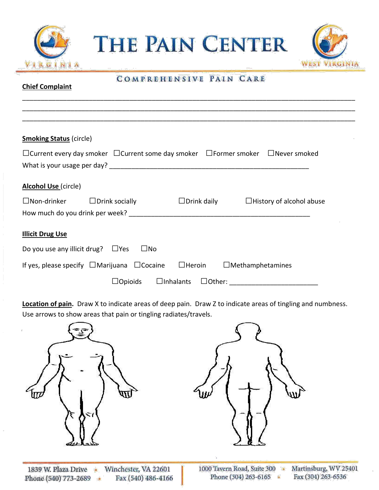

**THE PAIN CENTER** 



### COMPREHENSIVE PAIN CARE

\_\_\_\_\_\_\_\_\_\_\_\_\_\_\_\_\_\_\_\_\_\_\_\_\_\_\_\_\_\_\_\_\_\_\_\_\_\_\_\_\_\_\_\_\_\_\_\_\_\_\_\_\_\_\_\_\_\_\_\_\_\_\_\_\_\_\_\_\_\_\_\_\_\_\_\_\_\_\_\_\_\_\_\_\_\_\_\_\_\_ \_\_\_\_\_\_\_\_\_\_\_\_\_\_\_\_\_\_\_\_\_\_\_\_\_\_\_\_\_\_\_\_\_\_\_\_\_\_\_\_\_\_\_\_\_\_\_\_\_\_\_\_\_\_\_\_\_\_\_\_\_\_\_\_\_\_\_\_\_\_\_\_\_\_\_\_\_\_\_\_\_\_\_\_\_\_\_\_\_\_

**Chief Complaint**

| <b>Smoking Status (circle)</b>          |                                                                                                                  |                                   |                                 |
|-----------------------------------------|------------------------------------------------------------------------------------------------------------------|-----------------------------------|---------------------------------|
|                                         | $\Box$ Current every day smoker $\Box$ Current some day smoker $\Box$ Former smoker $\Box$ Never smoked          |                                   |                                 |
|                                         |                                                                                                                  |                                   |                                 |
| <b>Alcohol Use</b> (circle)             |                                                                                                                  |                                   |                                 |
|                                         | $\Box$ Non-drinker $\Box$ Drink socially                                                                         | $\Box$ Drink daily                | $\Box$ History of alcohol abuse |
|                                         | How much do you drink per week? Noting the control of the control of the control of the control of the control o |                                   |                                 |
| <b>Illicit Drug Use</b>                 |                                                                                                                  |                                   |                                 |
| Do you use any illicit drug? $\Box$ Yes | $\square$ No                                                                                                     |                                   |                                 |
|                                         | If yes, please specify $\Box$ Marijuana $\Box$ Cocaine                                                           | $\square$ Heroin                  | $\Box$ Methamphetamines         |
|                                         | $\Box$ Opioids                                                                                                   | $\Box$ Inhalants<br>$\Box$ Other: |                                 |

**Location of pain.** Draw X to indicate areas of deep pain. Draw Z to indicate areas of tingling and numbness. Use arrows to show areas that pain or tingling radiates/travels.



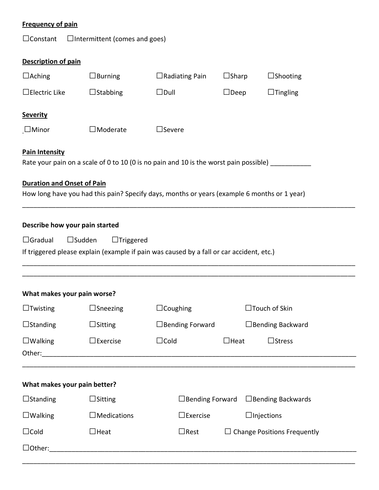| <b>Frequency of pain</b>                         |                                      |                                                                                             |              |                                    |  |
|--------------------------------------------------|--------------------------------------|---------------------------------------------------------------------------------------------|--------------|------------------------------------|--|
| $\Box$ Constant                                  | □Intermittent (comes and goes)       |                                                                                             |              |                                    |  |
| <b>Description of pain</b>                       |                                      |                                                                                             |              |                                    |  |
| $\Box$ Aching                                    | $\Box$ Burning                       | $\Box$ Radiating Pain                                                                       | $\Box$ Sharp | $\Box$ Shooting                    |  |
| $\Box$ Electric Like                             | $\Box$ Stabbing                      | $\square$ Dull                                                                              | $\Box$ Deep  | $\Box$ Tingling                    |  |
| <b>Severity</b>                                  |                                      |                                                                                             |              |                                    |  |
| $\Box$ Minor                                     | $\Box$ Moderate                      | $\Box$ Severe                                                                               |              |                                    |  |
| <b>Pain Intensity</b>                            |                                      | Rate your pain on a scale of 0 to 10 (0 is no pain and 10 is the worst pain possible)       |              |                                    |  |
| <b>Duration and Onset of Pain</b>                |                                      | How long have you had this pain? Specify days, months or years (example 6 months or 1 year) |              |                                    |  |
| Describe how your pain started<br>$\Box$ Gradual | $\square$ Sudden<br>$\Box$ Triggered | If triggered please explain (example if pain was caused by a fall or car accident, etc.)    |              |                                    |  |
| What makes your pain worse?                      |                                      |                                                                                             |              |                                    |  |
| $\Box$ Twisting                                  | $\Box$ Sneezing                      | $\Box$ Coughing                                                                             |              | $\Box$ Touch of Skin               |  |
| $\Box$ Standing                                  | $\Box$ Sitting                       | $\Box$ Bending Forward                                                                      |              | □ Bending Backward                 |  |
| $\Box$ Walking                                   | $\Box$ Exercise                      | $\Box$ Cold                                                                                 | $\Box$ Heat  | $\Box$ Stress                      |  |
| What makes your pain better?                     |                                      |                                                                                             |              |                                    |  |
| $\Box$ Standing                                  | $\Box$ Sitting                       | $\Box$ Bending Forward                                                                      |              | $\Box$ Bending Backwards           |  |
| $\Box$ Walking                                   | $\Box$ Medications                   | $\square$ Exercise                                                                          |              | $\Box$ Injections                  |  |
| $\Box$ Cold                                      | $\Box$ Heat                          | $\Box$ Rest                                                                                 |              | $\Box$ Change Positions Frequently |  |
| $\Box$ Other:                                    |                                      |                                                                                             |              |                                    |  |

\_\_\_\_\_\_\_\_\_\_\_\_\_\_\_\_\_\_\_\_\_\_\_\_\_\_\_\_\_\_\_\_\_\_\_\_\_\_\_\_\_\_\_\_\_\_\_\_\_\_\_\_\_\_\_\_\_\_\_\_\_\_\_\_\_\_\_\_\_\_\_\_\_\_\_\_\_\_\_\_\_\_\_\_\_\_\_\_\_\_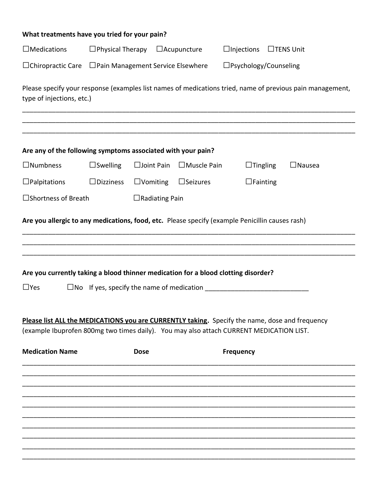| What treatments have you tried for your pain?                                                                                                                                                                       |                                                                                                      |                       |                                            |                                    |  |                                                                                                           |
|---------------------------------------------------------------------------------------------------------------------------------------------------------------------------------------------------------------------|------------------------------------------------------------------------------------------------------|-----------------------|--------------------------------------------|------------------------------------|--|-----------------------------------------------------------------------------------------------------------|
| $\Box$ Medications                                                                                                                                                                                                  | $\Box$ Physical Therapy                                                                              |                       | $\Box$ Acupuncture                         | $\Box$ Injections $\Box$ TENS Unit |  |                                                                                                           |
|                                                                                                                                                                                                                     | $\Box$ Chiropractic Care $\Box$ Pain Management Service Elsewhere<br>$\square$ Psychology/Counseling |                       |                                            |                                    |  |                                                                                                           |
| type of injections, etc.)                                                                                                                                                                                           |                                                                                                      |                       |                                            |                                    |  | Please specify your response (examples list names of medications tried, name of previous pain management, |
| Are any of the following symptoms associated with your pain?                                                                                                                                                        |                                                                                                      |                       |                                            |                                    |  |                                                                                                           |
| $\Box$ Numbness                                                                                                                                                                                                     | $\Box$ Swelling                                                                                      |                       | $\square$ Joint Pain $\square$ Muscle Pain | $\Box$ Tingling                    |  | $\Box$ Nausea                                                                                             |
| $\Box$ Palpitations                                                                                                                                                                                                 | $\square$ Dizziness                                                                                  | $\Box$ Vomiting       | $\square$ Seizures                         | $\Box$ Fainting                    |  |                                                                                                           |
| $\square$ Shortness of Breath                                                                                                                                                                                       |                                                                                                      | $\Box$ Radiating Pain |                                            |                                    |  |                                                                                                           |
| Are you currently taking a blood thinner medication for a blood clotting disorder?<br>$\Box$ Yes                                                                                                                    |                                                                                                      |                       |                                            |                                    |  |                                                                                                           |
| Please list ALL the MEDICATIONS you are CURRENTLY taking. Specify the name, dose and frequency<br>(example Ibuprofen 800mg two times daily). You may also attach CURRENT MEDICATION LIST.<br><b>Medication Name</b> | <b>Dose</b>                                                                                          |                       |                                            | <b>Frequency</b>                   |  |                                                                                                           |
|                                                                                                                                                                                                                     |                                                                                                      |                       |                                            |                                    |  |                                                                                                           |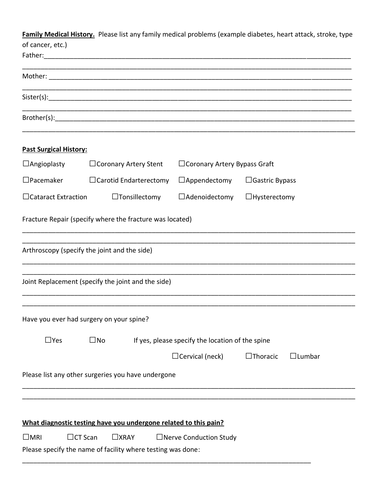**Family Medical History.** Please list any family medical problems (example diabetes, heart attack, stroke, type of cancer, etc.)

| Father:                                      |                                                                            |                                                  |                                        |
|----------------------------------------------|----------------------------------------------------------------------------|--------------------------------------------------|----------------------------------------|
|                                              |                                                                            |                                                  |                                        |
|                                              |                                                                            |                                                  |                                        |
|                                              |                                                                            |                                                  |                                        |
| <b>Past Surgical History:</b>                |                                                                            |                                                  |                                        |
| $\Box$ Angioplasty                           | □ Coronary Artery Stent                                                    | $\Box$ Coronary Artery Bypass Graft              |                                        |
| $\Box$ Pacemaker                             | $\Box$ Carotid Endarterectomy                                              | $\Box$ Appendectomy                              | $\Box$ Gastric Bypass                  |
| $\Box$ Cataract Extraction                   | $\Box$ Tonsillectomy                                                       | $\Box$ Adenoidectomy                             | $\Box$ Hysterectomy                    |
|                                              | Fracture Repair (specify where the fracture was located)                   |                                                  |                                        |
| Arthroscopy (specify the joint and the side) |                                                                            |                                                  |                                        |
|                                              | Joint Replacement (specify the joint and the side)                         |                                                  |                                        |
| Have you ever had surgery on your spine?     |                                                                            |                                                  |                                        |
| $\Box$ Yes                                   | $\square$ No                                                               | If yes, please specify the location of the spine |                                        |
|                                              |                                                                            | $\Box$ Cervical (neck)                           | $\square$ Thoracic<br>$\square$ Lumbar |
|                                              | Please list any other surgeries you have undergone                         |                                                  |                                        |
|                                              |                                                                            |                                                  |                                        |
|                                              | What diagnostic testing have you undergone related to this pain?           |                                                  |                                        |
| $\square$ MRI<br>$\Box$ CT Scan              | $\Box$ XRAY<br>Please specify the name of facility where testing was done: | $\Box$ Nerve Conduction Study                    |                                        |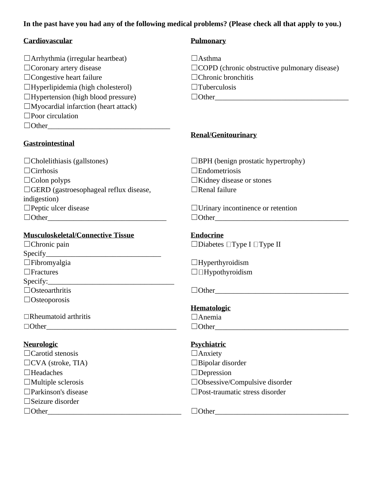#### **In the past have you had any of the following medical problems? (Please check all that apply to you.)**

| Cardiovascular                                                                                                                                                                                                                                                                                                                                                                                                                                                                                                                             | <b>Pulmonary</b>                                    |
|--------------------------------------------------------------------------------------------------------------------------------------------------------------------------------------------------------------------------------------------------------------------------------------------------------------------------------------------------------------------------------------------------------------------------------------------------------------------------------------------------------------------------------------------|-----------------------------------------------------|
| $\Box$ Arrhythmia (irregular heartbeat)                                                                                                                                                                                                                                                                                                                                                                                                                                                                                                    | $\Box$ Asthma                                       |
| $\Box$ Coronary artery disease                                                                                                                                                                                                                                                                                                                                                                                                                                                                                                             | $\Box$ COPD (chronic obstructive pulmonary disease) |
| $\Box$ Congestive heart failure                                                                                                                                                                                                                                                                                                                                                                                                                                                                                                            | $\Box$ Chronic bronchitis                           |
| $\Box$ Hyperlipidemia (high cholesterol)                                                                                                                                                                                                                                                                                                                                                                                                                                                                                                   | $\Box$ Tuberculosis                                 |
| $\Box$ Hypertension (high blood pressure)                                                                                                                                                                                                                                                                                                                                                                                                                                                                                                  | $\Box$ Other                                        |
| $\Box$ Myocardial infarction (heart attack)                                                                                                                                                                                                                                                                                                                                                                                                                                                                                                |                                                     |
| $\square$ Poor circulation                                                                                                                                                                                                                                                                                                                                                                                                                                                                                                                 |                                                     |
| $\Box$ Other                                                                                                                                                                                                                                                                                                                                                                                                                                                                                                                               |                                                     |
|                                                                                                                                                                                                                                                                                                                                                                                                                                                                                                                                            | <b>Renal/Genitourinary</b>                          |
| <b>Gastrointestinal</b>                                                                                                                                                                                                                                                                                                                                                                                                                                                                                                                    |                                                     |
| $\Box$ Cholelithiasis (gallstones)                                                                                                                                                                                                                                                                                                                                                                                                                                                                                                         | $\Box$ BPH (benign prostatic hypertrophy)           |
| $\Box$ Cirrhosis                                                                                                                                                                                                                                                                                                                                                                                                                                                                                                                           | $\Box$ Endometriosis                                |
| $\Box$ Colon polyps                                                                                                                                                                                                                                                                                                                                                                                                                                                                                                                        | $\Box$ Kidney disease or stones                     |
| $\Box$ GERD (gastroesophageal reflux disease,                                                                                                                                                                                                                                                                                                                                                                                                                                                                                              | $\Box$ Renal failure                                |
| indigestion)                                                                                                                                                                                                                                                                                                                                                                                                                                                                                                                               |                                                     |
| $\Box$ Peptic ulcer disease                                                                                                                                                                                                                                                                                                                                                                                                                                                                                                                | $\Box$ Urinary incontinence or retention            |
|                                                                                                                                                                                                                                                                                                                                                                                                                                                                                                                                            |                                                     |
| <b>Musculoskeletal/Connective Tissue</b>                                                                                                                                                                                                                                                                                                                                                                                                                                                                                                   | <b>Endocrine</b>                                    |
| $\Box$ Chronic pain                                                                                                                                                                                                                                                                                                                                                                                                                                                                                                                        | $\Box$ Diabetes $\Box$ Type I $\Box$ Type II        |
| $\text{Specify}\_$                                                                                                                                                                                                                                                                                                                                                                                                                                                                                                                         |                                                     |
| $\Box$ Fibromyalgia                                                                                                                                                                                                                                                                                                                                                                                                                                                                                                                        | $\Box$ Hyperthyroidism                              |
| $\Box$ Fractures                                                                                                                                                                                                                                                                                                                                                                                                                                                                                                                           | $\Box$ Hypothyroidism                               |
| $\text{Specify:}\n\begin{picture}(1,0) \label{fig:2} \begin{picture}(1,0) \label{fig:2} \end{picture}% \begin{picture}(1,0) \label{fig:2} \end{picture}% \begin{picture}(1,0) \label{fig:2} \end{picture}% \begin{picture}(1,0) \label{fig:2} \end{picture}% \begin{picture}(1,0) \label{fig:2} \end{picture}% \begin{picture}(1,0) \label{fig:2} \end{picture}% \begin{picture}(1,0) \label{fig:2} \end{picture}% \begin{picture}(1,0) \label{fig:2} \end{picture}% \begin{picture}(1,0) \label{fig:2} \end{picture}% \begin{picture}(1,$ |                                                     |
| $\Box$ Osteoarthritis                                                                                                                                                                                                                                                                                                                                                                                                                                                                                                                      | $\Box$ Other                                        |
| $\Box$ Osteoporosis                                                                                                                                                                                                                                                                                                                                                                                                                                                                                                                        |                                                     |
| $\Box$ Rheumatoid arthritis                                                                                                                                                                                                                                                                                                                                                                                                                                                                                                                | <b>Hematologic</b><br>$\Box$ Anemia                 |
| $\Box$ Other                                                                                                                                                                                                                                                                                                                                                                                                                                                                                                                               |                                                     |
|                                                                                                                                                                                                                                                                                                                                                                                                                                                                                                                                            | $\Box$ Other                                        |
| <b>Neurologic</b>                                                                                                                                                                                                                                                                                                                                                                                                                                                                                                                          | <b>Psychiatric</b>                                  |
| $\Box$ Carotid stenosis                                                                                                                                                                                                                                                                                                                                                                                                                                                                                                                    | $\Box$ Anxiety                                      |
| $\Box$ CVA (stroke, TIA)                                                                                                                                                                                                                                                                                                                                                                                                                                                                                                                   | $\Box$ Bipolar disorder                             |
| $\Box$ Headaches                                                                                                                                                                                                                                                                                                                                                                                                                                                                                                                           | $\Box$ Depression                                   |
| $\Box$ Multiple sclerosis                                                                                                                                                                                                                                                                                                                                                                                                                                                                                                                  | □Obsessive/Compulsive disorder                      |
| $\Box$ Parkinson's disease                                                                                                                                                                                                                                                                                                                                                                                                                                                                                                                 | $\square$ Post-traumatic stress disorder            |
| $\square$ Seizure disorder                                                                                                                                                                                                                                                                                                                                                                                                                                                                                                                 |                                                     |
| $\Box$ Other                                                                                                                                                                                                                                                                                                                                                                                                                                                                                                                               | $\Box$ Other_                                       |